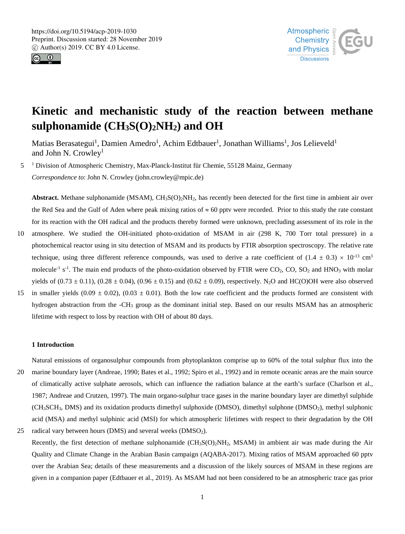



# **Kinetic and mechanistic study of the reaction between methane sulphonamide (CH3S(O)2NH2) and OH**

Matias Berasategui<sup>1</sup>, Damien Amedro<sup>1</sup>, Achim Edtbauer<sup>1</sup>, Jonathan Williams<sup>1</sup>, Jos Lelieveld<sup>1</sup> and John N. Crowley<sup>1</sup>

5 <sup>1</sup> Division of Atmospheric Chemistry, Max-Planck-Institut für Chemie, 55128 Mainz, Germany *Correspondence to*: John N. Crowley (john.crowley@mpic.de)

**Abstract.** Methane sulphonamide (MSAM),  $CH_3S(O)_2NH_2$ , has recently been detected for the first time in ambient air over the Red Sea and the Gulf of Aden where peak mixing ratios of  $\approx 60$  pptv were recorded. Prior to this study the rate constant for its reaction with the OH radical and the products thereby formed were unknown, precluding assessment of its role in the

- 10 atmosphere. We studied the OH-initiated photo-oxidation of MSAM in air (298 K, 700 Torr total pressure) in a photochemical reactor using in situ detection of MSAM and its products by FTIR absorption spectroscopy. The relative rate technique, using three different reference compounds, was used to derive a rate coefficient of  $(1.4 \pm 0.3) \times 10^{-13}$  cm<sup>3</sup> molecule<sup>-1</sup> s<sup>-1</sup>. The main end products of the photo-oxidation observed by FTIR were  $CO_2$ ,  $CO$ ,  $SO_2$  and HNO<sub>3</sub> with molar yields of  $(0.73 \pm 0.11)$ ,  $(0.28 \pm 0.04)$ ,  $(0.96 \pm 0.15)$  and  $(0.62 \pm 0.09)$ , respectively. N<sub>2</sub>O and HC(O)OH were also observed
- 15 in smaller yields (0.09  $\pm$  0.02), (0.03  $\pm$  0.01). Both the low rate coefficient and the products formed are consistent with hydrogen abstraction from the -CH3 group as the dominant initial step. Based on our results MSAM has an atmospheric lifetime with respect to loss by reaction with OH of about 80 days.

#### **1 Introduction**

Natural emissions of organosulphur compounds from phytoplankton comprise up to 60% of the total sulphur flux into the 20 marine boundary layer (Andreae, 1990; Bates et al., 1992; Spiro et al., 1992) and in remote oceanic areas are the main source of climatically active sulphate aerosols, which can influence the radiation balance at the earth's surface (Charlson et al., 1987; Andreae and Crutzen, 1997). The main organo-sulphur trace gases in the marine boundary layer are dimethyl sulphide  $(CH_3SCH_3, DMS)$  and its oxidation products dimethyl sulphoxide (DMSO), dimethyl sulphone (DMSO<sub>2</sub>), methyl sulphonic acid (MSA) and methyl sulphinic acid (MSI) for which atmospheric lifetimes with respect to their degradation by the OH 25 radical vary between hours (DMS) and several weeks (DMSO<sub>2</sub>).

Recently, the first detection of methane sulphonamide  $(CH<sub>3</sub>SO<sub>2</sub>NH<sub>2</sub>$ , MSAM) in ambient air was made during the Air Quality and Climate Change in the Arabian Basin campaign (AQABA-2017). Mixing ratios of MSAM approached 60 pptv over the Arabian Sea; details of these measurements and a discussion of the likely sources of MSAM in these regions are given in a companion paper (Edtbauer et al., 2019). As MSAM had not been considered to be an atmospheric trace gas prior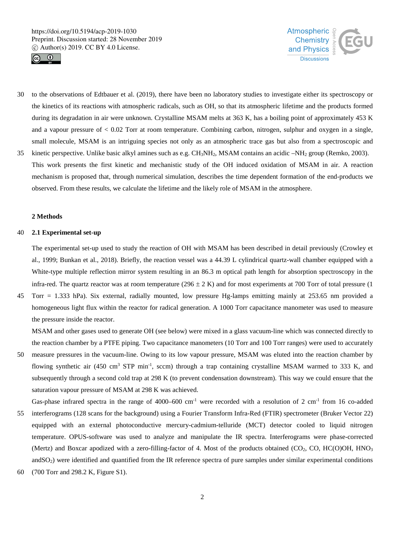



- 30 to the observations of Edtbauer et al. (2019), there have been no laboratory studies to investigate either its spectroscopy or the kinetics of its reactions with atmospheric radicals, such as OH, so that its atmospheric lifetime and the products formed during its degradation in air were unknown. Crystalline MSAM melts at 363 K, has a boiling point of approximately 453 K and a vapour pressure of  $< 0.02$  Torr at room temperature. Combining carbon, nitrogen, sulphur and oxygen in a single, small molecule, MSAM is an intriguing species not only as an atmospheric trace gas but also from a spectroscopic and 35 kinetic perspective. Unlike basic alkyl amines such as e.g.  $CH_3NH_2$ , MSAM contains an acidic  $-NH_2$  group (Remko, 2003).
- This work presents the first kinetic and mechanistic study of the OH induced oxidation of MSAM in air. A reaction mechanism is proposed that, through numerical simulation, describes the time dependent formation of the end-products we observed. From these results, we calculate the lifetime and the likely role of MSAM in the atmosphere.

# **2 Methods**

#### 40 **2.1 Experimental set-up**

The experimental set-up used to study the reaction of OH with MSAM has been described in detail previously (Crowley et al., 1999; Bunkan et al., 2018). Briefly, the reaction vessel was a 44.39 L cylindrical quartz-wall chamber equipped with a White-type multiple reflection mirror system resulting in an 86.3 m optical path length for absorption spectroscopy in the infra-red. The quartz reactor was at room temperature ( $296 \pm 2$  K) and for most experiments at 700 Torr of total pressure (1)

45 Torr = 1.333 hPa). Six external, radially mounted, low pressure Hg-lamps emitting mainly at 253.65 nm provided a homogeneous light flux within the reactor for radical generation. A 1000 Torr capacitance manometer was used to measure the pressure inside the reactor.

MSAM and other gases used to generate OH (see below) were mixed in a glass vacuum-line which was connected directly to the reaction chamber by a PTFE piping. Two capacitance manometers (10 Torr and 100 Torr ranges) were used to accurately

50 measure pressures in the vacuum-line. Owing to its low vapour pressure, MSAM was eluted into the reaction chamber by flowing synthetic air (450 cm<sup>3</sup> STP min<sup>-1</sup>, sccm) through a trap containing crystalline MSAM warmed to 333 K, and subsequently through a second cold trap at 298 K (to prevent condensation downstream). This way we could ensure that the saturation vapour pressure of MSAM at 298 K was achieved.

Gas-phase infrared spectra in the range of 4000–600 cm<sup>-1</sup> were recorded with a resolution of 2 cm<sup>-1</sup> from 16 co-added 55 interferograms (128 scans for the background) using a Fourier Transform Infra-Red (FTIR) spectrometer (Bruker Vector 22) equipped with an external photoconductive mercury-cadmium-telluride (MCT) detector cooled to liquid nitrogen temperature. OPUS-software was used to analyze and manipulate the IR spectra. Interferograms were phase-corrected

(Mertz) and Boxcar apodized with a zero-filling-factor of 4. Most of the products obtained (CO<sub>2</sub>, CO, HC(O)OH, HNO<sub>3</sub>  $andSO<sub>2</sub>$ ) were identified and quantified from the IR reference spectra of pure samples under similar experimental conditions 60 (700 Torr and 298.2 K, Figure S1).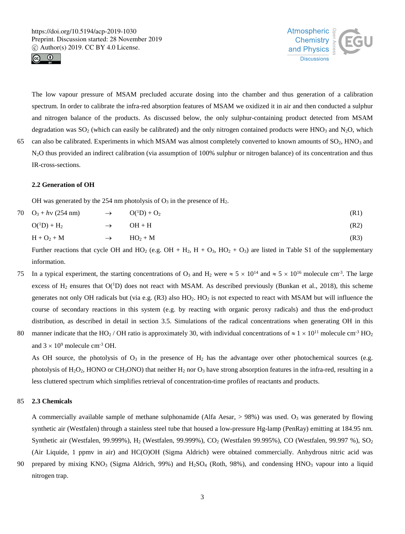



The low vapour pressure of MSAM precluded accurate dosing into the chamber and thus generation of a calibration spectrum. In order to calibrate the infra-red absorption features of MSAM we oxidized it in air and then conducted a sulphur and nitrogen balance of the products. As discussed below, the only sulphur-containing product detected from MSAM degradation was  $SO_2$  (which can easily be calibrated) and the only nitrogen contained products were HNO<sub>3</sub> and N<sub>2</sub>O, which 65 can also be calibrated. Experiments in which MSAM was almost completely converted to known amounts of SO<sub>2</sub>, HNO<sub>3</sub> and

# N2O thus provided an indirect calibration (via assumption of 100% sulphur or nitrogen balance) of its concentration and thus IR-cross-sections.

# **2.2 Generation of OH**

OH was generated by the 254 nm photolysis of  $O_3$  in the presence of  $H_2$ .

| 70 $O_3 + h\nu$ (254 nm) | $\rightarrow$ | $O(^1D) + O_2$ | (R1) |
|--------------------------|---------------|----------------|------|
| $O(^1D) + H_2$           | $\rightarrow$ | $OH + H$       | (R2) |
| $H + O_2 + M$            | $\rightarrow$ | $HO_2 + M$     | (R3) |

Further reactions that cycle OH and HO<sub>2</sub> (e.g. OH + H<sub>2</sub>, H + O<sub>3</sub>, HO<sub>2</sub> + O<sub>3</sub>) are listed in Table S1 of the supplementary information.

- In a typical experiment, the starting concentrations of O<sub>3</sub> and H<sub>2</sub> were  $\approx 5 \times 10^{14}$  and  $\approx 5 \times 10^{16}$  molecule cm<sup>-3</sup>. The large excess of  $H_2$  ensures that  $O(^1D)$  does not react with MSAM. As described previously (Bunkan et al., 2018), this scheme generates not only OH radicals but (via e.g.  $(R3)$  also  $HO<sub>2</sub>$ . HO<sub>2</sub> is not expected to react with MSAM but will influence the course of secondary reactions in this system (e.g. by reacting with organic peroxy radicals) and thus the end-product distribution, as described in detail in section 3.5. Simulations of the radical concentrations when generating OH in this
- 80 manner indicate that the HO<sub>2</sub> / OH ratio is approximately 30, with individual concentrations of  $\approx 1 \times 10^{11}$  molecule cm<sup>-3</sup> HO<sub>2</sub> and  $3 \times 10^9$  molecule cm<sup>-3</sup> OH.

As OH source, the photolysis of  $O_3$  in the presence of  $H_2$  has the advantage over other photochemical sources (e.g. photolysis of H<sub>2</sub>O<sub>2</sub>, HONO or CH<sub>3</sub>ONO) that neither H<sub>2</sub> nor O<sub>3</sub> have strong absorption features in the infra-red, resulting in a less cluttered spectrum which simplifies retrieval of concentration-time profiles of reactants and products.

# 85 **2.3 Chemicals**

A commercially available sample of methane sulphonamide (Alfa Aesar,  $> 98\%$ ) was used. O<sub>3</sub> was generated by flowing synthetic air (Westfalen) through a stainless steel tube that housed a low-pressure Hg-lamp (PenRay) emitting at 184.95 nm. Synthetic air (Westfalen, 99.999%), H<sub>2</sub> (Westfalen, 99.999%), CO<sub>2</sub> (Westfalen 99.995%), CO (Westfalen, 99.997 %), SO<sub>2</sub> (Air Liquide, 1 ppmv in air) and HC(O)OH (Sigma Aldrich) were obtained commercially. Anhydrous nitric acid was

90 prepared by mixing KNO<sub>3</sub> (Sigma Aldrich, 99%) and H<sub>2</sub>SO<sub>4</sub> (Roth, 98%), and condensing HNO<sub>3</sub> vapour into a liquid nitrogen trap.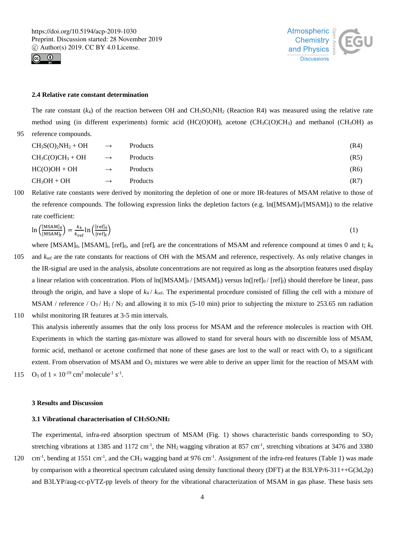



# **2.4 Relative rate constant determination**

The rate constant  $(k_4)$  of the reaction between OH and CH<sub>3</sub>SO<sub>2</sub>NH<sub>2</sub> (Reaction R4) was measured using the relative rate method using (in different experiments) formic acid (HC(O)OH), acetone (CH<sub>3</sub>C(O)CH<sub>3</sub>) and methanol (CH<sub>3</sub>OH) as 95 reference compounds.

| $CH_3S(O)_2NH_2 + OH \longrightarrow$ |               | Products | (R4) |
|---------------------------------------|---------------|----------|------|
| $CH_3C(O)CH_3 + OH$                   | $\rightarrow$ | Products | (R5) |
| $HC(O)OH + OH$                        | $\rightarrow$ | Products | (R6) |
| $CH_3OH + OH$                         | $\rightarrow$ | Products | (R7) |

100 Relative rate constants were derived by monitoring the depletion of one or more IR-features of MSAM relative to those of the reference compounds. The following expression links the depletion factors (e.g.  $\ln([\text{MSAM}]_0/[\text{MSAM}]_t$ ) to the relative rate coefficient:

$$
\ln\left(\frac{[MSAM]_0}{[MSAM]_t}\right) = \frac{k_4}{k_{ref}} \ln\left(\frac{[ref]_0}{[ref]_t}\right) \tag{1}
$$

where  $[MSAM]_0$ ,  $[MSAM]_t$ ,  $[ref]_0$ , and  $[ref]_t$  are the concentrations of MSAM and reference compound at times 0 and t;  $k_4$ 

- 105 and  $k_{\text{ref}}$  are the rate constants for reactions of OH with the MSAM and reference, respectively. As only relative changes in the IR-signal are used in the analysis, absolute concentrations are not required as long as the absorption features used display a linear relation with concentration. Plots of  $\ln([MSAM]_0 / [MSAM]_t)$  versus  $\ln([ref]_0 / [ref]_t)$  should therefore be linear, pass through the origin, and have a slope of  $k_4 / k_{ref}$ . The experimental procedure consisted of filling the cell with a mixture of MSAM / reference /  $O_3$  /  $H_2$  /  $N_2$  and allowing it to mix (5-10 min) prior to subjecting the mixture to 253.65 nm radiation
- 110 whilst monitoring IR features at 3-5 min intervals.

This analysis inherently assumes that the only loss process for MSAM and the reference molecules is reaction with OH. Experiments in which the starting gas-mixture was allowed to stand for several hours with no discernible loss of MSAM, formic acid, methanol or acetone confirmed that none of these gases are lost to the wall or react with  $O_3$  to a significant extent. From observation of MSAM and  $O<sub>3</sub>$  mixtures we were able to derive an upper limit for the reaction of MSAM with 115 O<sub>3</sub> of  $1 \times 10^{-19}$  cm<sup>3</sup> molecule<sup>-1</sup> s<sup>-1</sup>.

#### **3 Results and Discussion**

# **3.1 Vibrational characterisation of CH3SO2NH2**

The experimental, infra-red absorption spectrum of MSAM (Fig. 1) shows characteristic bands corresponding to  $SO_2$ stretching vibrations at 1385 and 1172 cm<sup>-1</sup>, the NH<sub>2</sub> wagging vibration at 857 cm<sup>-1</sup>, stretching vibrations at 3476 and 3380

120 cm<sup>-1</sup>, bending at 1551 cm<sup>-1</sup>, and the CH<sub>3</sub> wagging band at 976 cm<sup>-1</sup>. Assignment of the infra-red features (Table 1) was made by comparison with a theoretical spectrum calculated using density functional theory (DFT) at the B3LYP/6-311++G(3d,2p) and B3LYP/aug-cc-pVTZ-pp levels of theory for the vibrational characterization of MSAM in gas phase. These basis sets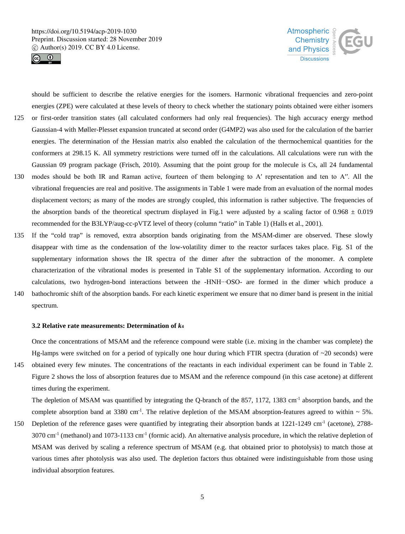



should be sufficient to describe the relative energies for the isomers. Harmonic vibrational frequencies and zero-point energies (ZPE) were calculated at these levels of theory to check whether the stationary points obtained were either isomers

- 125 or first-order transition states (all calculated conformers had only real frequencies). The high accuracy energy method Gaussian-4 with Møller-Plesset expansion truncated at second order (G4MP2) was also used for the calculation of the barrier energies. The determination of the Hessian matrix also enabled the calculation of the thermochemical quantities for the conformers at 298.15 K. All symmetry restrictions were turned off in the calculations. All calculations were run with the Gaussian 09 program package (Frisch, 2010). Assuming that the point group for the molecule is Cs, all 24 fundamental 130 modes should be both IR and Raman active, fourteen of them belonging to A' representation and ten to A''. All the
- vibrational frequencies are real and positive. The assignments in Table 1 were made from an evaluation of the normal modes displacement vectors; as many of the modes are strongly coupled, this information is rather subjective. The frequencies of the absorption bands of the theoretical spectrum displayed in Fig.1 were adjusted by a scaling factor of  $0.968 \pm 0.019$ recommended for the B3LYP/aug-cc-pVTZ level of theory (column "ratio" in Table 1) (Halls et al., 2001).
- 135 If the "cold trap" is removed, extra absorption bands originating from the MSAM-dimer are observed. These slowly disappear with time as the condensation of the low-volatility dimer to the reactor surfaces takes place. Fig. S1 of the supplementary information shows the IR spectra of the dimer after the subtraction of the monomer. A complete characterization of the vibrational modes is presented in Table S1 of the supplementary information. According to our calculations, two hydrogen-bond interactions between the -HNH∙∙∙OSO- are formed in the dimer which produce a 140 bathochromic shift of the absorption bands. For each kinetic experiment we ensure that no dimer band is present in the initial
- spectrum.

#### **3.2 Relative rate measurements: Determination of** *k***<sup>4</sup>**

times during the experiment.

Once the concentrations of MSAM and the reference compound were stable (i.e. mixing in the chamber was complete) the Hg-lamps were switched on for a period of typically one hour during which FTIR spectra (duration of  $\sim$ 20 seconds) were 145 obtained every few minutes. The concentrations of the reactants in each individual experiment can be found in Table 2. Figure 2 shows the loss of absorption features due to MSAM and the reference compound (in this case acetone) at different

The depletion of MSAM was quantified by integrating the Q-branch of the 857, 1172, 1383 cm<sup>-1</sup> absorption bands, and the complete absorption band at 3380 cm<sup>-1</sup>. The relative depletion of the MSAM absorption-features agreed to within  $\sim$  5%.

150 Depletion of the reference gases were quantified by integrating their absorption bands at  $1221-1249$  cm<sup>-1</sup> (acetone), 2788- $3070 \text{ cm}^{-1}$  (methanol) and  $1073-1133 \text{ cm}^{-1}$  (formic acid). An alternative analysis procedure, in which the relative depletion of MSAM was derived by scaling a reference spectrum of MSAM (e.g. that obtained prior to photolysis) to match those at various times after photolysis was also used. The depletion factors thus obtained were indistinguishable from those using individual absorption features.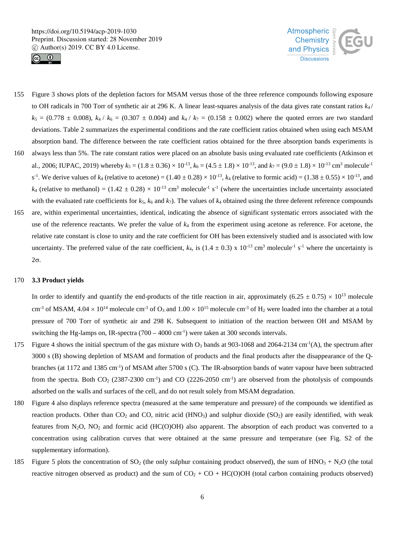



- 155 Figure 3 shows plots of the depletion factors for MSAM versus those of the three reference compounds following exposure to OH radicals in 700 Torr of synthetic air at 296 K. A linear least-squares analysis of the data gives rate constant ratios *k*<sup>4</sup> /  $k_5 = (0.778 \pm 0.008)$ ,  $k_4 / k_6 = (0.307 \pm 0.004)$  and  $k_4 / k_7 = (0.158 \pm 0.002)$  where the quoted errors are two standard deviations. Table 2 summarizes the experimental conditions and the rate coefficient ratios obtained when using each MSAM absorption band. The difference between the rate coefficient ratios obtained for the three absorption bands experiments is
- 160 always less than 5%. The rate constant ratios were placed on an absolute basis using evaluated rate coefficients (Atkinson et al., 2006; IUPAC, 2019) whereby  $k_5 = (1.8 \pm 0.36) \times 10^{-13}$ ,  $k_6 = (4.5 \pm 1.8) \times 10^{-13}$ , and  $k_7 = (9.0 \pm 1.8) \times 10^{-13}$  cm<sup>3</sup> molecule<sup>-1</sup>  $s^{-1}$ . We derive values of  $k_4$  (relative to acetone) =  $(1.40 \pm 0.28) \times 10^{-13}$ ,  $k_4$  (relative to formic acid) =  $(1.38 \pm 0.55) \times 10^{-13}$ , and  $k_4$  (relative to methanol) = (1.42 ± 0.28) × 10<sup>-13</sup> cm<sup>3</sup> molecule<sup>-1</sup> s<sup>-1</sup> (where the uncertainties include uncertainty associated with the evaluated rate coefficients for  $k_5$ ,  $k_6$  and  $k_7$ ). The values of  $k_4$  obtained using the three deferent reference compounds
- 165 are, within experimental uncertainties, identical, indicating the absence of significant systematic errors associated with the use of the reference reactants. We prefer the value of *k*<sup>4</sup> from the experiment using acetone as reference. For acetone, the relative rate constant is close to unity and the rate coefficient for OH has been extensively studied and is associated with low uncertainty. The preferred value of the rate coefficient,  $k_4$ , is (1.4  $\pm$  0.3) x 10<sup>-13</sup> cm<sup>3</sup> molecule<sup>-1</sup> s<sup>-1</sup> where the uncertainty is 2σ.

#### 170 **3.3 Product yields**

In order to identify and quantify the end-products of the title reaction in air, approximately  $(6.25 \pm 0.75) \times 10^{13}$  molecule cm<sup>-3</sup> of MSAM,  $4.04 \times 10^{14}$  molecule cm<sup>-3</sup> of O<sub>3</sub> and  $1.00 \times 10^{15}$  molecule cm<sup>-3</sup> of H<sub>2</sub> were loaded into the chamber at a total pressure of 700 Torr of synthetic air and 298 K. Subsequent to initiation of the reaction between OH and MSAM by switching the Hg-lamps on, IR-spectra  $(700 - 4000 \text{ cm}^{-1})$  were taken at 300 seconds intervals.

- 175 Figure 4 shows the initial spectrum of the gas mixture with  $O_3$  bands at 903-1068 and 2064-2134 cm<sup>-1</sup>(A), the spectrum after 3000 s (B) showing depletion of MSAM and formation of products and the final products after the disappearance of the Qbranches (at 1172 and 1385 cm<sup>-1</sup>) of MSAM after 5700 s (C). The IR-absorption bands of water vapour have been subtracted from the spectra. Both  $CO_2$  (2387-2300 cm<sup>-1</sup>) and  $CO$  (2226-2050 cm<sup>-1</sup>) are observed from the photolysis of compounds adsorbed on the walls and surfaces of the cell, and do not result solely from MSAM degradation.
- 180 Figure 4 also displays reference spectra (measured at the same temperature and pressure) of the compounds we identified as reaction products. Other than  $CO_2$  and  $CO$ , nitric acid (HNO<sub>3</sub>) and sulphur dioxide (SO<sub>2</sub>) are easily identified, with weak features from  $N_2O$ ,  $NO_2$  and formic acid (HC(O)OH) also apparent. The absorption of each product was converted to a concentration using calibration curves that were obtained at the same pressure and temperature (see Fig. S2 of the supplementary information).
- 185 Figure 5 plots the concentration of  $SO_2$  (the only sulphur containing product observed), the sum of  $HNO_3 + N_2O$  (the total reactive nitrogen observed as product) and the sum of  $CO<sub>2</sub> + CO + HC(O)OH$  (total carbon containing products observed)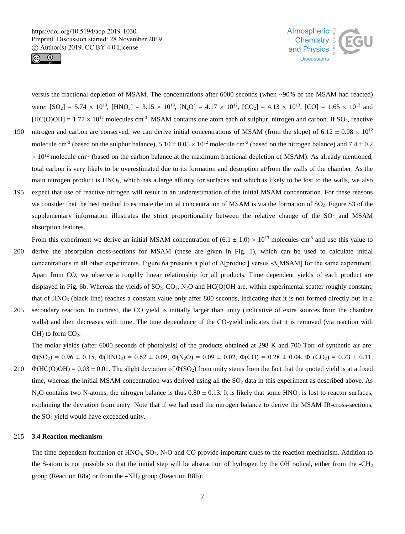



versus the fractional depletion of MSAM. The concentrations after 6000 seconds (when ~90% of the MSAM had reacted) were:  $[SO_2] = 5.74 \times 10^{13}$ ,  $[HNO_3] = 3.15 \times 10^{13}$ ,  $[N_2O] = 4.17 \times 10^{12}$ ,  $[CO_2] = 4.13 \times 10^{13}$ ,  $[CO] = 1.65 \times 10^{13}$  and  $[HC(O)OH] = 1.77 \times 10^{12}$  molecules cm<sup>-3</sup>. MSAM contains one atom each of sulphur, nitrogen and carbon. If SO<sub>2</sub>, reactive 190 nitrogen and carbon are conserved, we can derive initial concentrations of MSAM (from the slope) of  $6.12 \pm 0.08 \times 10^{12}$ molecule cm<sup>-3</sup> (based on the sulphur balance),  $5.10 \pm 0.05 \times 10^{12}$  molecule cm<sup>-3</sup> (based on the nitrogen balance) and 7.4  $\pm$  0.2  $\times$  10<sup>12</sup> molecule cm<sup>-3</sup> (based on the carbon balance at the maximum fractional depletion of MSAM). As already mentioned, total carbon is very likely to be overestimated due to its formation and desorption at/from the walls of the chamber. As the main nitrogen product is HNO3, which has a large affinity for surfaces and which is likely to be lost to the walls, we also 195 expect that use of reactive nitrogen will result in an underestimation of the initial MSAM concentration. For these reasons we consider that the best method to estimate the initial concentration of MSAM is via the formation of SO<sub>2</sub>. Figure S3 of the supplementary information illustrates the strict proportionality between the relative change of the  $SO_2$  and MSAM

absorption features.

- From this experiment we derive an initial MSAM concentration of  $(6.1 \pm 1.0) \times 10^{13}$  molecules cm<sup>-3</sup> and use this value to 200 derive the absorption cross-sections for MSAM (these are given in Fig. 1), which can be used to calculate initial concentrations in all other experiments. Figure 6a presents a plot of Δ[product] versus -Δ[MSAM] for the same experiment. Apart from CO, we observe a roughly linear relationship for all products. Time dependent yields of each product are displayed in Fig. 6b. Whereas the yields of  $SO_2$ ,  $CO_2$ ,  $N_2O$  and  $HC(O)OH$  are, within experimental scatter roughly constant, that of HNO3 (black line) reaches a constant value only after 800 seconds, indicating that it is not formed directly but in a
- 205 secondary reaction. In contrast, the CO yield is initially larger than unity (indicative of extra sources from the chamber walls) and then decreases with time. The time dependence of the CO-yield indicates that it is removed (via reaction with  $OH$ ) to form  $CO<sub>2</sub>$ .

The molar yields (after 6000 seconds of photolysis) of the products obtained at 298 K and 700 Torr of synthetic air are:  $\Phi(SO_2) = 0.96 \pm 0.15$ ,  $\Phi(HNO_3) = 0.62 \pm 0.09$ ,  $\Phi(N_2O) = 0.09 \pm 0.02$ ,  $\Phi(CO) = 0.28 \pm 0.04$ ,  $\Phi(CO_2) = 0.73 \pm 0.11$ ,

210  $\Phi(HC(O)OH) = 0.03 \pm 0.01$ . The slight deviation of  $\Phi(SO_2)$  from unity stems from the fact that the quoted yield is at a fixed time, whereas the initial MSAM concentration was derived using all the  $SO<sub>2</sub>$  data in this experiment as described above. As  $N_2$ O contains two N-atoms, the nitrogen balance is thus  $0.80 \pm 0.13$ . It is likely that some HNO<sub>3</sub> is lost to reactor surfaces, explaining the deviation from unity. Note that if we had used the nitrogen balance to derive the MSAM IR-cross-sections, the  $SO<sub>2</sub>$  yield would have exceeded unity.

#### 215 **3.4 Reaction mechanism**

The time dependent formation of  $HNO<sub>3</sub>$ ,  $SO<sub>2</sub>$ ,  $N<sub>2</sub>O$  and CO provide important clues to the reaction mechanism. Addition to the S-atom is not possible so that the initial step will be abstraction of hydrogen by the OH radical, either from the -CH3 group (Reaction R8a) or from the  $-NH<sub>2</sub>$  group (Reaction R8b):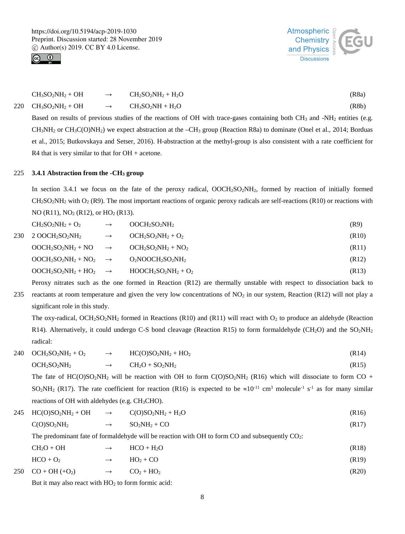



| $CH3SO2NH2 + OH$        | $\rightarrow$ | $CH2SO2NH2 + H2O$   | (R8a) |
|-------------------------|---------------|---------------------|-------|
| 220 $CH_3SO_2NH_2 + OH$ | $\rightarrow$ | $CH_3SO_2NH + H_2O$ | (R8b) |

Based on results of previous studies of the reactions of OH with trace-gases containing both  $CH_3$  and -NH<sub>2</sub> entities (e.g.  $CH_3NH_2$  or  $CH_3C(O)NH_2$ ) we expect abstraction at the  $-CH_3$  group (Reaction R8a) to dominate (Onel et al., 2014; Borduas et al., 2015; Butkovskaya and Setser, 2016). H-abstraction at the methyl-group is also consistent with a rate coefficient for R4 that is very similar to that for OH + acetone.

#### 225 **3.4.1 Abstraction from the -CH3 group**

In section 3.4.1 we focus on the fate of the peroxy radical, OOCH<sub>2</sub>SO<sub>2</sub>NH<sub>2</sub>, formed by reaction of initially formed  $CH<sub>2</sub>SO<sub>2</sub>NH<sub>2</sub>$  with O<sub>2</sub> (R9). The most important reactions of organic peroxy radicals are self-reactions (R10) or reactions with NO (R11), NO<sub>2</sub> (R12), or HO<sub>2</sub> (R13).

| $CH2SO2NH2 + O2$                     | $\rightarrow$ | $OOCH2SO2NH2$        | (R9)               |
|--------------------------------------|---------------|----------------------|--------------------|
| 230 2 OOCH2SO2NH2                    | $\rightarrow$ | $OCH2SO2NH2 + O2$    | (R <sub>10</sub> ) |
| $OOCH_2SO_2NH_2 + NO \rightarrow$    |               | $OCH2SO2NH2 + NO2$   | (R11)              |
| $OOCH_2SO_2NH_2 + NO_2 \rightarrow$  |               | $O_2NOOCH_2SO_2NH_2$ | (R12)              |
| $O OCH_2SO_2NH_2 + HO_2 \rightarrow$ |               | $HOOCH2SO2NH2 + O2$  | (R13)              |
|                                      |               |                      |                    |

Peroxy nitrates such as the one formed in Reaction (R12) are thermally unstable with respect to dissociation back to 235 reactants at room temperature and given the very low concentrations of  $NO<sub>2</sub>$  in our system, Reaction (R12) will not play a

significant role in this study.

The oxy-radical,  $OCH_2SO_2NH_2$  formed in Reactions (R10) and (R11) will react with  $O_2$  to produce an aldehyde (Reaction R14). Alternatively, it could undergo C-S bond cleavage (Reaction R15) to form formaldehyde (CH<sub>2</sub>O) and the SO<sub>2</sub>NH<sub>2</sub> radical:

 $240 \quad OCH_2SO_2NH_2 + O_2 \rightarrow HCOSO_2NH_2 + HO_2$  (R14)

$$
OCH2SO2NH2 \longrightarrow CH2O + SO2NH2
$$
 (R15)

The fate of HC(O)SO<sub>2</sub>NH<sub>2</sub> will be reaction with OH to form C(O)SO<sub>2</sub>NH<sub>2</sub> (R16) which will dissociate to form CO + SO<sub>2</sub>NH<sub>2</sub> (R17). The rate coefficient for reaction (R16) is expected to be  $\approx 10^{-11}$  cm<sup>3</sup> molecule<sup>-1</sup> s<sup>-1</sup> as for many similar reactions of OH with aldehydes (e.g. CH3CHO).

$$
245 \text{ HC(O)SO}_2\text{NH}_2 + \text{OH} \longrightarrow \text{C(O)SO}_2\text{NH}_2 + \text{H}_2\text{O} \tag{R16}
$$

 $C(O)SO_2NH_2 \rightarrow SO_2NH_2 + CO$  (R17)

The predominant fate of formaldehyde will be reaction with OH to form CO and subsequently CO<sub>2</sub>:

| $CH2O + OH$ | $\rightarrow$ | $HCO + H2O$ | (R18) |
|-------------|---------------|-------------|-------|
| $HCO + O2$  | $\rightarrow$ | $HO_2 + CO$ | (R19) |

 $250 \quad \text{CO} + \text{OH } (+\text{O}_2)$   $\rightarrow \quad \text{CO}_2 + \text{HO}_2$  (R20)

But it may also react with  $HO<sub>2</sub>$  to form formic acid: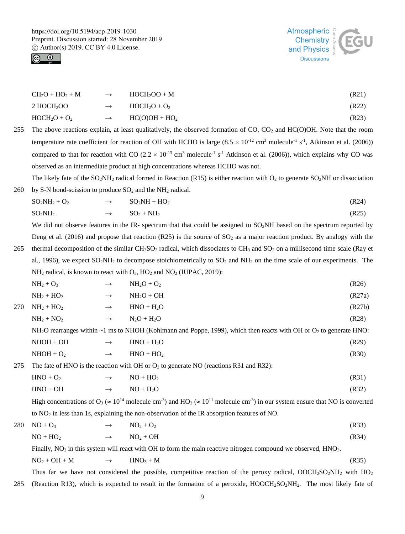



| $CH2O + HO2 + M$       | $\rightarrow$ | $HOCH2OO + M$   | (R21) |
|------------------------|---------------|-----------------|-------|
| 2 HOCH <sub>2</sub> OO | $\rightarrow$ | $HOCH2O + O2$   | (R22) |
| $HOCH2O + O2$          | $\rightarrow$ | $HC(O)OH + HO2$ | (R23) |

255 The above reactions explain, at least qualitatively, the observed formation of  $CO$ ,  $CO<sub>2</sub>$  and  $HC(O)OH$ . Note that the room temperature rate coefficient for reaction of OH with HCHO is large  $(8.5 \times 10^{-12} \text{ cm}^3 \text{ molecule}^{-1} \text{ s}^{-1}$ , Atkinson et al. (2006)) compared to that for reaction with CO (2.2  $\times$  10<sup>-13</sup> cm<sup>3</sup> molecule<sup>-1</sup> s<sup>-1</sup> Atkinson et al. (2006)), which explains why CO was observed as an intermediate product at high concentrations whereas HCHO was not.

The likely fate of the  $SO_2NH_2$  radical formed in Reaction (R15) is either reaction with  $O_2$  to generate  $SO_2NH$  or dissociation 260 by S-N bond-scission to produce  $SO_2$  and the NH<sub>2</sub> radical.

| $SO_2NH_2 + O_2$ | $\rightarrow$ | $SO_2NH + HO_2$ | (R24) |
|------------------|---------------|-----------------|-------|
| $SO_2NH_2$       | $\rightarrow$ | $SO_2 + NH_2$   | (R25) |

We did not observe features in the IR- spectrum that that could be assigned to SO<sub>2</sub>NH based on the spectrum reported by Deng et al. (2016) and propose that reaction (R25) is the source of  $SO<sub>2</sub>$  as a major reaction product. By analogy with the

- 265 thermal decomposition of the similar  $CH_3SO_2$  radical, which dissociates to  $CH_3$  and  $SO_2$  on a millisecond time scale (Ray et al., 1996), we expect  $SO_2NH_2$  to decompose stoichiometrically to  $SO_2$  and  $NH_2$  on the time scale of our experiments. The  $NH_2$  radical, is known to react with  $O_3$ ,  $HO_2$  and  $NO_2$  (IUPAC, 2019):
	- $NH_2 + O_3 \rightarrow NH_2O + O_2$  (R26)  $NH_2 + HO_2$   $\longrightarrow$   $NH_2O + OH$  (R27a)
- $270 \text{ NH}_2 + \text{HO}_2 \rightarrow \text{HNO} + \text{H}_2\text{O}$  (R27b)  $NH_2 + NO_2$   $\longrightarrow$   $N_2O + H_2O$  (R28)

NH<sub>2</sub>O rearranges within  $\sim$  1 ms to NHOH (Kohlmann and Poppe, 1999), which then reacts with OH or O<sub>2</sub> to generate HNO:

| $NHOH + OH$ | $\rightarrow$ | $HNO + H2O$ | (R29) |
|-------------|---------------|-------------|-------|
| $NHOH + O2$ |               | $HNO + HO2$ | (R30) |

275 The fate of HNO is the reaction with OH or  $O_2$  to generate NO (reactions R31 and R32):

| $HNO + O2$ | $\rightarrow$ | $NO + HO2$ | (R31) |
|------------|---------------|------------|-------|
| $HNO + OH$ | $\rightarrow$ | $NO + H2O$ | (R32) |

High concentrations of  $O_3 \approx 10^{14}$  molecule cm<sup>-3</sup>) and HO<sub>2</sub> ( $\approx 10^{11}$  molecule cm<sup>-3</sup>) in our system ensure that NO is converted to NO2 in less than 1s, explaining the non-observation of the IR absorption features of NO.

280 NO + O<sub>3</sub>  $\rightarrow$  NO<sub>2</sub> + O<sub>2</sub> (R33)

$$
NO + HO2 \longrightarrow NO2 + OH
$$
 (R34)

Finally,  $NO<sub>2</sub>$  in this system will react with OH to form the main reactive nitrogen compound we observed,  $HNO<sub>3</sub>$ .

$$
NO2 + OH + M \longrightarrow HNO3 + M \tag{R35}
$$

Thus far we have not considered the possible, competitive reaction of the peroxy radical, OOCH<sub>2</sub>SO<sub>2</sub>NH<sub>2</sub> with HO<sub>2</sub> 285 (Reaction R13), which is expected to result in the formation of a peroxide,  $HOOCH<sub>2</sub>SO<sub>2</sub>NH<sub>2</sub>$ . The most likely fate of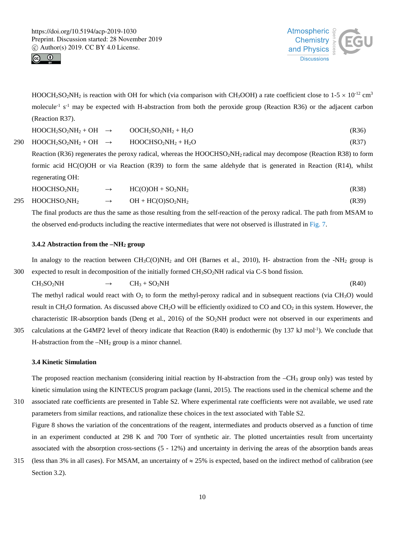



HOOCH<sub>2</sub>SO<sub>2</sub>NH<sub>2</sub> is reaction with OH for which (via comparison with CH<sub>3</sub>OOH) a rate coefficient close to  $1-5 \times 10^{-12}$  cm<sup>3</sup> molecule<sup>-1</sup> s<sup>-1</sup> may be expected with H-abstraction from both the peroxide group (Reaction R36) or the adjacent carbon (Reaction R37).

| $HOOCH2SO2NH2 + OH$ | $OOCH2SO2NH2 + H2O$ | (R36) |
|---------------------|---------------------|-------|
|---------------------|---------------------|-------|

 $290 \text{ HOOCH}_2\text{SO}_2\text{NH}_2 + \text{OH} \rightarrow \text{HOOCHSO}_2\text{NH}_2 + \text{H}_2\text{O}$  (R37)

Reaction (R36) regenerates the peroxy radical, whereas the HOOCHSO<sub>2</sub>NH<sub>2</sub> radical may decompose (Reaction R38) to form formic acid HC(O)OH or via Reaction (R39) to form the same aldehyde that is generated in Reaction (R14), whilst regenerating OH:

| HOOCHSO <sub>2</sub> NH <sub>2</sub> | $HC(O)OH + SO2NH2$<br>the contract of the contract of the contract of the contract of the contract of the contract of the contract of | (R38) |
|--------------------------------------|---------------------------------------------------------------------------------------------------------------------------------------|-------|
|--------------------------------------|---------------------------------------------------------------------------------------------------------------------------------------|-------|

 $295 \text{ HOOCHSO}_2\text{NH}_2 \rightarrow \text{OH} + \text{HC(O)SO}_2\text{NH}_2$  (R39)

The final products are thus the same as those resulting from the self-reaction of the peroxy radical. The path from MSAM to the observed end-products including the reactive intermediates that were not observed is illustrated in Fig. 7.

# **3.4.2 Abstraction from the –NH2 group**

In analogy to the reaction between  $CH_3C(O)NH_2$  and OH (Barnes et al., 2010), H- abstraction from the -NH<sub>2</sub> group is 300 expected to result in decomposition of the initially formed  $CH<sub>3</sub>SO<sub>2</sub>NH$  radical via C-S bond fission.

$$
CH_3SO_2NH \longrightarrow CH_3 + SO_2NH \tag{R40}
$$

The methyl radical would react with  $O_2$  to form the methyl-peroxy radical and in subsequent reactions (via  $CH_3O$ ) would result in CH<sub>2</sub>O formation. As discussed above CH<sub>2</sub>O will be efficiently oxidized to CO and CO<sub>2</sub> in this system. However, the characteristic IR-absorption bands (Deng et al., 2016) of the SO2NH product were not observed in our experiments and

305 calculations at the G4MP2 level of theory indicate that Reaction  $(R40)$  is endothermic (by 137 kJ mol<sup>-1</sup>). We conclude that H-abstraction from the –NH2 group is a minor channel.

#### **3.4 Kinetic Simulation**

The proposed reaction mechanism (considering initial reaction by H-abstraction from the –CH<sub>3</sub> group only) was tested by kinetic simulation using the KINTECUS program package (Ianni, 2015). The reactions used in the chemical scheme and the

310 associated rate coefficients are presented in Table S2. Where experimental rate coefficients were not available, we used rate parameters from similar reactions, and rationalize these choices in the text associated with Table S2.

Figure 8 shows the variation of the concentrations of the reagent, intermediates and products observed as a function of time in an experiment conducted at 298 K and 700 Torr of synthetic air. The plotted uncertainties result from uncertainty associated with the absorption cross-sections (5 - 12%) and uncertainty in deriving the areas of the absorption bands areas

315 (less than 3% in all cases). For MSAM, an uncertainty of  $\approx 25\%$  is expected, based on the indirect method of calibration (see Section 3.2).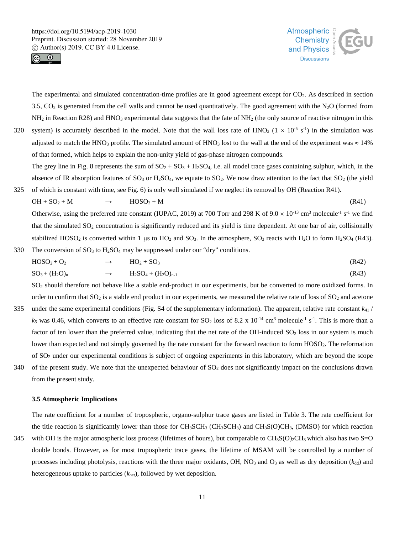



The experimental and simulated concentration-time profiles are in good agreement except for CO2. As described in section 3.5,  $CO<sub>2</sub>$  is generated from the cell walls and cannot be used quantitatively. The good agreement with the N<sub>2</sub>O (formed from  $NH<sub>2</sub>$  in Reaction R28) and HNO<sub>3</sub> experimental data suggests that the fate of NH<sub>2</sub> (the only source of reactive nitrogen in this 320 system) is accurately described in the model. Note that the wall loss rate of HNO<sub>3</sub> ( $1 \times 10^{-5}$  s<sup>-1</sup>) in the simulation was adjusted to match the HNO<sub>3</sub> profile. The simulated amount of HNO<sub>3</sub> lost to the wall at the end of the experiment was  $\approx 14\%$ of that formed, which helps to explain the non-unity yield of gas-phase nitrogen compounds.

The grey line in Fig. 8 represents the sum of  $SO_2 + SO_3 + H_2SO_4$ , i.e. all model trace gases containing sulphur, which, in the absence of IR absorption features of  $SO_3$  or  $H_2SO_4$ , we equate to  $SO_2$ . We now draw attention to the fact that  $SO_2$  (the yield 325 of which is constant with time, see Fig. 6) is only well simulated if we neglect its removal by OH (Reaction R41).

 $OH + SO_2 + M \rightarrow HOSO_2 + M$  (R41) Otherwise, using the preferred rate constant (IUPAC, 2019) at 700 Torr and 298 K of  $9.0 \times 10^{-13}$  cm<sup>3</sup> molecule<sup>-1</sup> s<sup>-1</sup> we find that the simulated  $SO_2$  concentration is significantly reduced and its yield is time dependent. At one bar of air, collisionally stabilized HOSO<sub>2</sub> is converted within 1 µs to HO<sub>2</sub> and SO<sub>3</sub>. In the atmosphere, SO<sub>3</sub> reacts with H<sub>2</sub>O to form H<sub>2</sub>SO<sub>4</sub> (R43).

330 The conversion of  $SO_3$  to  $H_2SO_4$  may be suppressed under our "dry" conditions.

$$
HOSO_2 + O_2 \longrightarrow HO_2 + SO_3 \tag{R42}
$$

$$
SO_3 + (H_2O)_n \longrightarrow H_2SO_4 + (H_2O)_{n-1} \tag{R43}
$$

SO2 should therefore not behave like a stable end-product in our experiments, but be converted to more oxidized forms. In order to confirm that  $SO_2$  is a stable end product in our experiments, we measured the relative rate of loss of  $SO_2$  and acetone

- 335 under the same experimental conditions (Fig. S4 of the supplementary information). The apparent, relative rate constant  $k_{41}$  /  $k_5$  was 0.46, which converts to an effective rate constant for  $SO_2$  loss of 8.2 x  $10^{-14}$  cm<sup>3</sup> molecule<sup>-1</sup> s<sup>-1</sup>. This is more than a factor of ten lower than the preferred value, indicating that the net rate of the OH-induced  $SO_2$  loss in our system is much lower than expected and not simply governed by the rate constant for the forward reaction to form HOSO<sub>2</sub>. The reformation of SO2 under our experimental conditions is subject of ongoing experiments in this laboratory, which are beyond the scope 340 of the present study. We note that the unexpected behaviour of  $SO<sub>2</sub>$  does not significantly impact on the conclusions drawn
- from the present study.

#### **3.5 Atmospheric Implications**

The rate coefficient for a number of tropospheric, organo-sulphur trace gases are listed in Table 3. The rate coefficient for the title reaction is significantly lower than those for  $CH_3SCH_3$  ( $CH_3SCH_3$ ) and  $CH_3S(O)CH_3$ , (DMSO) for which reaction

345 with OH is the major atmospheric loss process (lifetimes of hours), but comparable to  $CH_3S(O)_2CH_3$  which also has two S=O double bonds. However, as for most tropospheric trace gases, the lifetime of MSAM will be controlled by a number of processes including photolysis, reactions with the three major oxidants, OH,  $NO<sub>3</sub>$  and  $O<sub>3</sub>$  as well as dry deposition ( $k_{dd}$ ) and heterogeneous uptake to particles (*k*het), followed by wet deposition.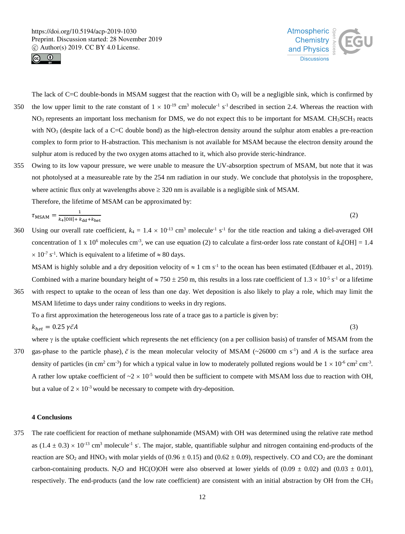



The lack of C=C double-bonds in MSAM suggest that the reaction with  $O_3$  will be a negligible sink, which is confirmed by 350 the low upper limit to the rate constant of  $1 \times 10^{-19}$  cm<sup>3</sup> molecule<sup>-1</sup> s<sup>-1</sup> described in section 2.4. Whereas the reaction with NO<sub>3</sub> represents an important loss mechanism for DMS, we do not expect this to be important for MSAM. CH<sub>3</sub>SCH<sub>3</sub> reacts with  $NO<sub>3</sub>$  (despite lack of a C=C double bond) as the high-electron density around the sulphur atom enables a pre-reaction complex to form prior to H-abstraction. This mechanism is not available for MSAM because the electron density around the sulphur atom is reduced by the two oxygen atoms attached to it, which also provide steric-hindrance.

355 Owing to its low vapour pressure, we were unable to measure the UV-absorption spectrum of MSAM, but note that it was not photolysed at a measureable rate by the 254 nm radiation in our study. We conclude that photolysis in the troposphere, where actinic flux only at wavelengths above  $\geq$  320 nm is available is a negligible sink of MSAM.

Therefore, the lifetime of MSAM can be approximated by:

$$
\tau_{\text{MSAM}} = \frac{1}{k_4[\text{OH}] + k_{\text{dd}} + k_{\text{het}}}
$$
 (2)

360 Using our overall rate coefficient,  $k_4 = 1.4 \times 10^{-13}$  cm<sup>3</sup> molecule<sup>-1</sup> s<sup>-1</sup> for the title reaction and taking a diel-averaged OH concentration of 1 x 10<sup>6</sup> molecules cm<sup>-3</sup>, we can use equation (2) to calculate a first-order loss rate constant of  $k_4[OH] = 1.4$  $\times$  10<sup>-7</sup> s<sup>-1</sup>. Which is equivalent to a lifetime of  $\approx$  80 days.

MSAM is highly soluble and a dry deposition velocity of  $\approx 1 \text{ cm s}^{-1}$  to the ocean has been estimated (Edtbauer et al., 2019). Combined with a marine boundary height of  $\approx 750 \pm 250$  m, this results in a loss rate coefficient of 1.3  $\times 10^{-5}$  s<sup>-1</sup> or a lifetime

365 with respect to uptake to the ocean of less than one day. Wet deposition is also likely to play a role, which may limit the MSAM lifetime to days under rainy conditions to weeks in dry regions.

To a first approximation the heterogeneous loss rate of a trace gas to a particle is given by:

$$
k_{het} = 0.25 \,\gamma \bar{c}A \tag{3}
$$

where  $\gamma$  is the uptake coefficient which represents the net efficiency (on a per collision basis) of transfer of MSAM from the 370 gas-phase to the particle phase),  $\bar{c}$  is the mean molecular velocity of MSAM (~26000 cm s<sup>-1</sup>) and *A* is the surface area density of particles (in cm<sup>2</sup> cm<sup>-3</sup>) for which a typical value in low to moderately polluted regions would be  $1 \times 10^{-6}$  cm<sup>2</sup> cm<sup>-3</sup>. A rather low uptake coefficient of  $\sim 2 \times 10^{-5}$  would then be sufficient to compete with MSAM loss due to reaction with OH, but a value of  $2 \times 10^{-3}$  would be necessary to compete with dry-deposition.

# **4 Conclusions**

375 The rate coefficient for reaction of methane sulphonamide (MSAM) with OH was determined using the relative rate method as  $(1.4 \pm 0.3) \times 10^{-13}$  cm<sup>3</sup> molecule<sup>-1</sup> s<sup>-</sup>. The major, stable, quantifiable sulphur and nitrogen containing end-products of the reaction are SO<sub>2</sub> and HNO<sub>3</sub> with molar yields of (0.96  $\pm$  0.15) and (0.62  $\pm$  0.09), respectively. CO and CO<sub>2</sub> are the dominant carbon-containing products. N<sub>2</sub>O and HC(O)OH were also observed at lower yields of (0.09  $\pm$  0.02) and (0.03  $\pm$  0.01), respectively. The end-products (and the low rate coefficient) are consistent with an initial abstraction by OH from the CH3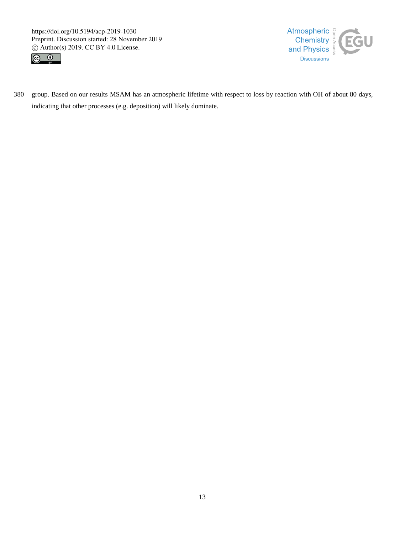



380 group. Based on our results MSAM has an atmospheric lifetime with respect to loss by reaction with OH of about 80 days, indicating that other processes (e.g. deposition) will likely dominate.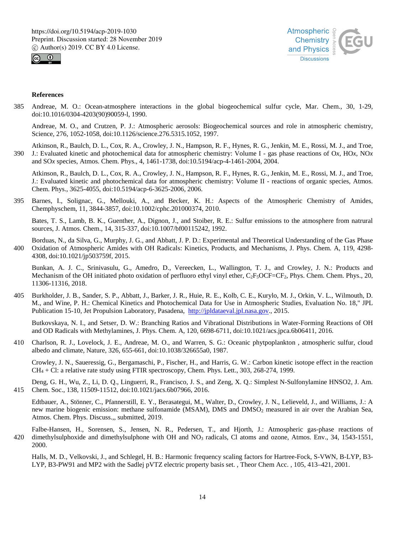



# **References**

385 Andreae, M. O.: Ocean-atmosphere interactions in the global biogeochemical sulfur cycle, Mar. Chem., 30, 1-29, doi:10.1016/0304-4203(90)90059-l, 1990.

Andreae, M. O., and Crutzen, P. J.: Atmospheric aerosols: Biogeochemical sources and role in atmospheric chemistry, Science, 276, 1052-1058, doi:10.1126/science.276.5315.1052, 1997.

Atkinson, R., Baulch, D. L., Cox, R. A., Crowley, J. N., Hampson, R. F., Hynes, R. G., Jenkin, M. E., Rossi, M. J., and Troe, 390 J.: Evaluated kinetic and photochemical data for atmospheric chemistry: Volume I - gas phase reactions of O*x*, HO*x*, NO*x* and SO*x* species, Atmos. Chem. Phys., 4, 1461-1738, doi:10.5194/acp-4-1461-2004, 2004.

Atkinson, R., Baulch, D. L., Cox, R. A., Crowley, J. N., Hampson, R. F., Hynes, R. G., Jenkin, M. E., Rossi, M. J., and Troe, J.: Evaluated kinetic and photochemical data for atmospheric chemistry: Volume II - reactions of organic species, Atmos. Chem. Phys., 3625-4055, doi:10.5194/acp-6-3625-2006, 2006.

395 Barnes, I., Solignac, G., Mellouki, A., and Becker, K. H.: Aspects of the Atmospheric Chemistry of Amides, Chemphyschem, 11, 3844-3857, doi:10.1002/cphc.201000374, 2010.

Bates, T. S., Lamb, B. K., Guenther, A., Dignon, J., and Stoiber, R. E.: Sulfur emissions to the atmosphere from natrural sources, J. Atmos. Chem., 14, 315-337, doi:10.1007/bf00115242, 1992.

Borduas, N., da Silva, G., Murphy, J. G., and Abbatt, J. P. D.: Experimental and Theoretical Understanding of the Gas Phase 400 Oxidation of Atmospheric Amides with OH Radicals: Kinetics, Products, and Mechanisms, J. Phys. Chem. A, 119, 4298- 4308, doi:10.1021/jp503759f, 2015.

Bunkan, A. J. C., Srinivasulu, G., Amedro, D., Vereecken, L., Wallington, T. J., and Crowley, J. N.: Products and Mechanism of the OH initiated photo oxidation of perfluoro ethyl vinyl ether, C<sub>2</sub>F<sub>5</sub>OCF=CF<sub>2</sub>, Phys. Chem. Chem. Phys., 20, 11306-11316, 2018.

405 Burkholder, J. B., Sander, S. P., Abbatt, J., Barker, J. R., Huie, R. E., Kolb, C. E., Kurylo, M. J., Orkin, V. L., Wilmouth, D. M., and Wine, P. H.: Chemical Kinetics and Photochemical Data for Use in Atmospheric Studies, Evaluation No. 18," JPL Publication 15-10, Jet Propulsion Laboratory, Pasadena, http://jpldataeval.jpl.nasa.gov., 2015.

Butkovskaya, N. I., and Setser, D. W.: Branching Ratios and Vibrational Distributions in Water-Forming Reactions of OH and OD Radicals with Methylamines, J. Phys. Chem. A, 120, 6698-6711, doi:10.1021/acs.jpca.6b06411, 2016.

410 Charlson, R. J., Lovelock, J. E., Andreae, M. O., and Warren, S. G.: Oceanic phytpoplankton , atmospheric sulfur, cloud albedo and climate, Nature, 326, 655-661, doi:10.1038/326655a0, 1987.

Crowley, J. N., Saueressig, G., Bergamaschi, P., Fischer, H., and Harris, G. W.: Carbon kinetic isotope effect in the reaction CH4 + Cl: a relative rate study using FTIR spectroscopy, Chem. Phys. Lett., 303, 268-274, 1999.

Deng, G. H., Wu, Z., Li, D. Q., Linguerri, R., Francisco, J. S., and Zeng, X. Q.: Simplest N-Sulfonylamine HNSO2, J. Am. 415 Chem. Soc., 138, 11509-11512, doi:10.1021/jacs.6b07966, 2016.

Edtbauer, A., Stönner, C., Pfannerstill, E. Y., Berasategui, M., Walter, D., Crowley, J. N., Lelieveld, J., and Williams, J.: A new marine biogenic emission: methane sulfonamide (MSAM), DMS and DMSO<sub>2</sub> measured in air over the Arabian Sea, Atmos. Chem. Phys. Discuss.,, submitted, 2019.

Falbe-Hansen, H., Sorensen, S., Jensen, N. R., Pedersen, T., and Hjorth, J.: Atmospheric gas-phase reactions of 420 dimethylsulphoxide and dimethylsulphone with OH and NO<sub>3</sub> radicals, Cl atoms and ozone, Atmos. Env., 34, 1543-1551, 2000.

Halls, M. D., Velkovski, J., and Schlegel, H. B.: Harmonic frequency scaling factors for Hartree-Fock, S-VWN, B-LYP, B3- LYP, B3-PW91 and MP2 with the Sadlej pVTZ electric property basis set. , Theor Chem Acc. , 105, 413–421, 2001.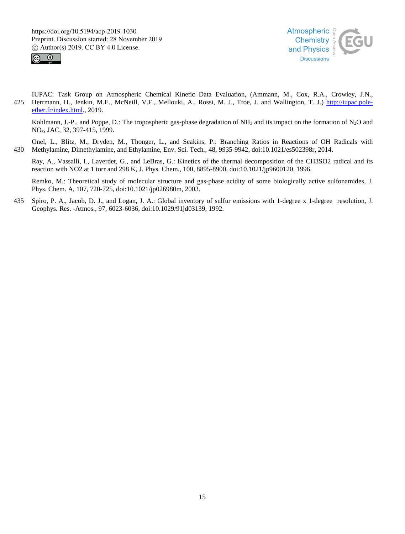



IUPAC: Task Group on Atmospheric Chemical Kinetic Data Evaluation, (Ammann, M., Cox, R.A., Crowley, J.N., 425 Herrmann, H., Jenkin, M.E., McNeill, V.F., Mellouki, A., Rossi, M. J., Troe, J. and Wallington, T. J.) http://iupac.poleether.fr/index.html., 2019.

Kohlmann, J.-P., and Poppe, D.: The tropospheric gas-phase degradation of  $NH_3$  and its impact on the formation of  $N_2O$  and NOx, JAC, 32, 397-415, 1999.

Onel, L., Blitz, M., Dryden, M., Thonger, L., and Seakins, P.: Branching Ratios in Reactions of OH Radicals with 430 Methylamine, Dimethylamine, and Ethylamine, Env. Sci. Tech., 48, 9935-9942, doi:10.1021/es502398r, 2014.

Ray, A., Vassalli, I., Laverdet, G., and LeBras, G.: Kinetics of the thermal decomposition of the CH3SO2 radical and its reaction with NO2 at 1 torr and 298 K, J. Phys. Chem., 100, 8895-8900, doi:10.1021/jp9600120, 1996.

Remko, M.: Theoretical study of molecular structure and gas-phase acidity of some biologically active sulfonamides, J. Phys. Chem. A, 107, 720-725, doi:10.1021/jp026980m, 2003.

435 Spiro, P. A., Jacob, D. J., and Logan, J. A.: Global inventory of sulfur emissions with 1-degree x 1-degree resolution, J. Geophys. Res. -Atmos., 97, 6023-6036, doi:10.1029/91jd03139, 1992.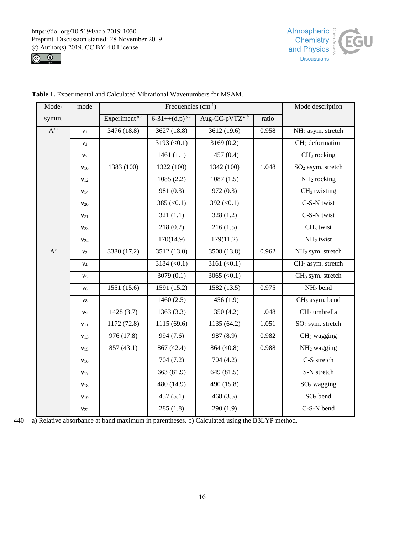



| Mode-            | mode            |                                  | Mode description             |                            |       |                                |
|------------------|-----------------|----------------------------------|------------------------------|----------------------------|-------|--------------------------------|
| symm.            |                 | Experiment <sup><i>a,b</i></sup> | $6-31++(d,p)^{a,b}$          | Aug-CC-pVTZ <sup>a,b</sup> | ratio |                                |
| $A$ <sup>"</sup> | v <sub>1</sub>  | 3476(18.8)                       | 3627(18.8)                   | 3612 (19.6)                | 0.958 | NH <sub>2</sub> asym. stretch  |
|                  | $v_3$           |                                  | 3193 $(< 0.1)$               | 3169(0.2)                  |       | CH <sub>3</sub> deformation    |
|                  | $v_7$           |                                  | 1461(1.1)                    | 1457(0.4)                  |       | CH <sub>3</sub> rocking        |
|                  | $v_{10}$        | 1383 (100)                       | 1322 (100)                   | 1342 (100)                 | 1.048 | SO <sub>2</sub> asym. stretch  |
|                  | $v_{12}$        |                                  | 1085(2.2)                    | 1087(1.5)                  |       | NH <sub>2</sub> rocking        |
|                  | $v_{14}$        |                                  | 981(0.3)                     | 972(0.3)                   |       | CH <sub>3</sub> twisting       |
|                  | $v_{20}$        |                                  | $385 \left( \le 0.1 \right)$ | 392 $(< 0.1)$              |       | C-S-N twist                    |
|                  | $v_{21}$        |                                  | 321(1.1)                     | 328(1.2)                   |       | C-S-N twist                    |
|                  | V <sub>23</sub> |                                  | 218(0.2)                     | 216(1.5)                   |       | CH <sub>3</sub> twist          |
|                  | $v_{24}$        |                                  | 170(14.9)                    | 179(11.2)                  |       | $\overline{\text{NH}_2}$ twist |
| $A^{\prime}$     | $v_2$           | 3380 (17.2)                      | 3512 (13.0)                  | 3508(13.8)                 | 0.962 | NH <sub>2</sub> sym. stretch   |
|                  | ${\rm V4}$      |                                  | 3184 (< 0.1)                 | 3161 $(< 0.1)$             |       | CH <sub>3</sub> asym. stretch  |
|                  | v <sub>5</sub>  |                                  | 3079(0.1)                    | 3065 $(<0.1)$              |       | CH <sub>3</sub> sym. stretch   |
|                  | $v_6$           | 1551 (15.6)                      | 1591 (15.2)                  | 1582 (13.5)                | 0.975 | NH <sub>2</sub> bend           |
|                  | $v_8$           |                                  | 1460(2.5)                    | 1456(1.9)                  |       | CH <sub>3</sub> asym. bend     |
|                  | v <sub>9</sub>  | 1428(3.7)                        | 1363(3.3)                    | 1350(4.2)                  | 1.048 | CH <sub>3</sub> umbrella       |
|                  | $v_{11}$        | 1172(72.8)                       | 1115(69.6)                   | 1135(64.2)                 | 1.051 | SO <sub>2</sub> sym. stretch   |
|                  | $v_{13}$        | 976 (17.8)                       | 994 (7.6)                    | 987(8.9)                   | 0.982 | CH <sub>3</sub> wagging        |
|                  | $v_{15}$        | 857 (43.1)                       | 867 (42.4)                   | 864(40.8)                  | 0.988 | NH <sub>2</sub> wagging        |
|                  | $v_{16}$        |                                  | 704(7.2)                     | 704(4.2)                   |       | C-S stretch                    |
|                  | $v_{17}$        |                                  | 663 (81.9)                   | 649 (81.5)                 |       | S-N stretch                    |
|                  | ${\bf v}_{18}$  |                                  | 480(14.9)                    | 490(15.8)                  |       | $SO2$ wagging                  |
|                  | $v_{19}$        |                                  | 457(5.1)                     | 468(3.5)                   |       | SO <sub>2</sub> bend           |
|                  | $V_{22}$        |                                  | 285(1.8)                     | 290(1.9)                   |       | C-S-N bend                     |

**Table 1.** Experimental and Calculated Vibrational Wavenumbers for MSAM.

440 a) Relative absorbance at band maximum in parentheses. b) Calculated using the B3LYP method.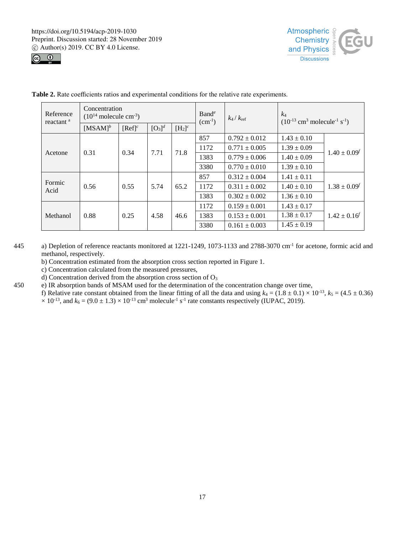



| Reference<br>reactant <sup>a</sup> | Concentration<br>$(10^{14} \text{ molecule cm}^{-3})$ |                      |                      |           | $B$ and <sup>e</sup><br>$(cm^{-1})$ | $k_4/k_{\text{ref}}$ | $k_4$<br>$(10^{-13} \text{ cm}^3 \text{ molecule}^{-1} \text{ s}^{-1})$ |                     |
|------------------------------------|-------------------------------------------------------|----------------------|----------------------|-----------|-------------------------------------|----------------------|-------------------------------------------------------------------------|---------------------|
|                                    | $[MSAM]$ <sup>b</sup>                                 | $[Ref]$ <sup>c</sup> | $[O_3]$ <sup>d</sup> | $[H_2]^c$ |                                     |                      |                                                                         |                     |
| Acetone                            | 0.31                                                  | 0.34                 | 7.71                 | 71.8      | 857                                 | $0.792 \pm 0.012$    | $1.43 \pm 0.10$                                                         | $1.40 \pm 0.09^f$   |
|                                    |                                                       |                      |                      |           | 1172                                | $0.771 \pm 0.005$    | $1.39 \pm 0.09$                                                         |                     |
|                                    |                                                       |                      |                      |           | 1383                                | $0.779 \pm 0.006$    | $1.40 \pm 0.09$                                                         |                     |
|                                    |                                                       |                      |                      |           | 3380                                | $0.770 \pm 0.010$    | $1.39 \pm 0.10$                                                         |                     |
| Formic<br>Acid                     | 0.56                                                  | 0.55                 | 5.74                 | 65.2      | 857                                 | $0.312 \pm 0.004$    | $1.41 \pm 0.11$                                                         | $1.38 \pm 0.09^{f}$ |
|                                    |                                                       |                      |                      |           | 1172                                | $0.311 \pm 0.002$    | $1.40 \pm 0.10$                                                         |                     |
|                                    |                                                       |                      |                      |           | 1383                                | $0.302 \pm 0.002$    | $1.36 \pm 0.10$                                                         |                     |
| Methanol                           | 0.88                                                  | 0.25                 | 4.58                 | 46.6      | 1172                                | $0.159 \pm 0.001$    | $1.43 \pm 0.17$                                                         | $1.42 \pm 0.16^f$   |
|                                    |                                                       |                      |                      |           | 1383                                | $0.153 \pm 0.001$    | $1.38 \pm 0.17$                                                         |                     |
|                                    |                                                       |                      |                      |           | 3380                                | $0.161 \pm 0.003$    | $1.45 \pm 0.19$                                                         |                     |

**Table 2.** Rate coefficients ratios and experimental conditions for the relative rate experiments.

- 445 a) Depletion of reference reactants monitored at 1221-1249, 1073-1133 and 2788-3070 cm<sup>-1</sup> for acetone, formic acid and methanol, respectively.
	- b) Concentration estimated from the absorption cross section reported in Figure 1.
	- c) Concentration calculated from the measured pressures,
	- d) Concentration derived from the absorption cross section of  $O<sub>3</sub>$
- 450 e) IR absorption bands of MSAM used for the determination of the concentration change over time,
	- f) Relative rate constant obtained from the linear fitting of all the data and using  $k_4 = (1.8 \pm 0.1) \times 10^{-13}$ ,  $k_5 = (4.5 \pm 0.36)$  $\times$  10<sup>-13</sup>, and  $k_6 = (9.0 \pm 1.3) \times 10^{-13}$  cm<sup>3</sup> molecule<sup>-1</sup> s<sup>-1</sup> rate constants respectively (IUPAC, 2019).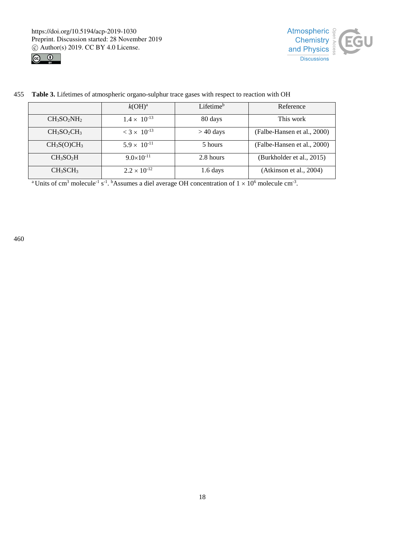



455 **Table 3.** Lifetimes of atmospheric organo-sulphur trace gases with respect to reaction with OH

|                                     | $k(OH)^a$                        | Lifetime <sup>b</sup> | Reference                   |
|-------------------------------------|----------------------------------|-----------------------|-----------------------------|
| $CH3SO2NH2$                         | $1.4 \times 10^{-13}$            | 80 days               | This work                   |
| $CH3SO2CH3$                         | $<$ 3 $\times$ 10 <sup>-13</sup> | $> 40$ days           | (Falbe-Hansen et al., 2000) |
| CH <sub>3</sub> S(O)CH <sub>3</sub> | $5.9 \times 10^{-11}$            | 5 hours               | (Falbe-Hansen et al., 2000) |
| CH <sub>3</sub> SO <sub>2</sub> H   | $9.0\times10^{-11}$              | 2.8 hours             | (Burkholder et al., 2015)   |
| CH <sub>3</sub> SCH <sub>3</sub>    | $2.2 \times 10^{-12}$            | 1.6 days              | (Atkinson et al., 2004)     |

<sup>a</sup> Units of cm<sup>3</sup> molecule<sup>-1</sup> s<sup>-1</sup>. <sup>b</sup>Assumes a diel average OH concentration of  $1 \times 10^6$  molecule cm<sup>-3</sup>.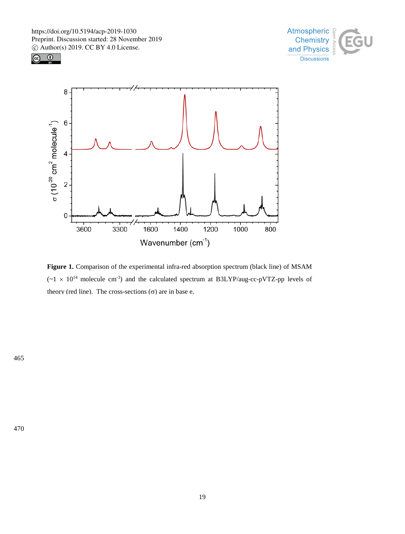





Figure 1. Comparison of the experimental infra-red absorption spectrum (black line) of MSAM  $({\sim}1 \times 10^{14}$  molecule cm<sup>-3</sup>) and the calculated spectrum at B3LYP/aug-cc-pVTZ-pp levels of theory (red line). The cross-sections  $(\sigma)$  are in base e.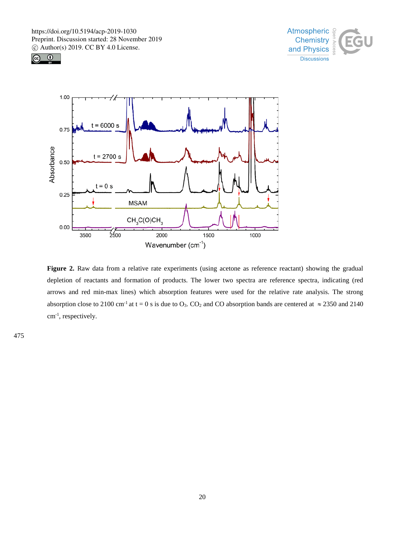





Figure 2. Raw data from a relative rate experiments (using acetone as reference reactant) showing the gradual depletion of reactants and formation of products. The lower two spectra are reference spectra, indicating (red arrows and red min-max lines) which absorption features were used for the relative rate analysis. The strong absorption close to 2100 cm<sup>-1</sup> at t = 0 s is due to O<sub>3</sub>. CO<sub>2</sub> and CO absorption bands are centered at  $\approx$  2350 and 2140 cm-1 , respectively.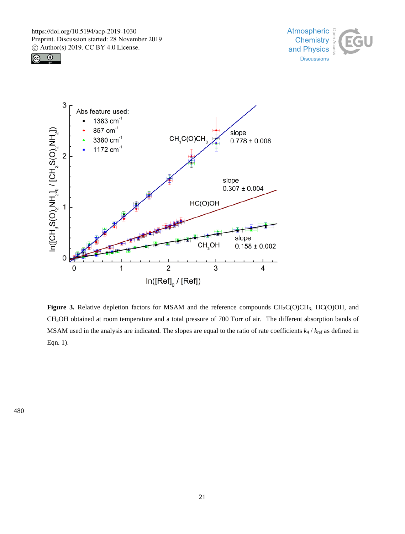





Figure 3. Relative depletion factors for MSAM and the reference compounds CH<sub>3</sub>C(O)CH<sub>3</sub>, HC(O)OH, and CH3OH obtained at room temperature and a total pressure of 700 Torr of air. The different absorption bands of MSAM used in the analysis are indicated. The slopes are equal to the ratio of rate coefficients *k*<sup>4</sup> / *k*ref as defined in Eqn. 1).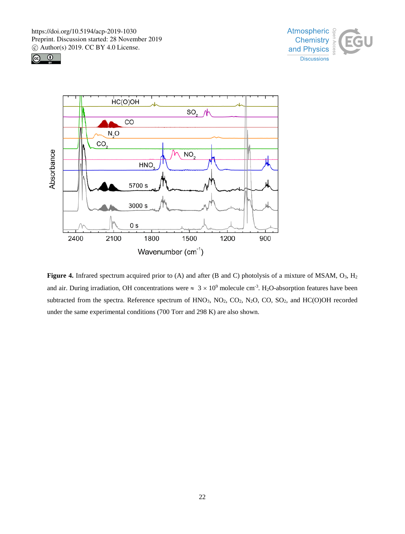





Figure 4. Infrared spectrum acquired prior to (A) and after (B and C) photolysis of a mixture of MSAM, O<sub>3</sub>, H<sub>2</sub> and air. During irradiation, OH concentrations were  $\approx 3 \times 10^9$  molecule cm<sup>-3</sup>. H<sub>2</sub>O-absorption features have been subtracted from the spectra. Reference spectrum of HNO<sub>3</sub>, NO<sub>2</sub>, CO<sub>2</sub>, N<sub>2</sub>O, CO, SO<sub>2</sub>, and HC(O)OH recorded under the same experimental conditions (700 Torr and 298 K) are also shown.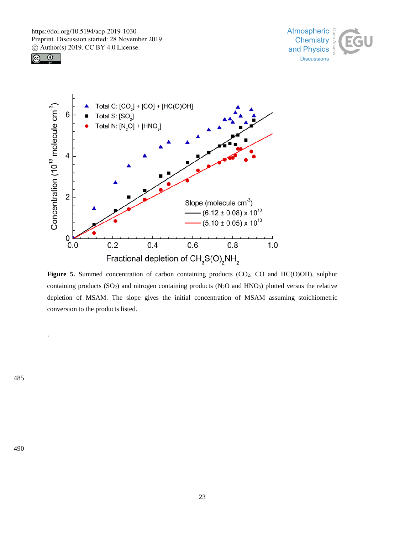





Figure 5. Summed concentration of carbon containing products (CO<sub>2</sub>, CO and HC(O)OH), sulphur containing products ( $SO<sub>2</sub>$ ) and nitrogen containing products ( $N<sub>2</sub>O$  and  $HNO<sub>3</sub>$ ) plotted versus the relative depletion of MSAM. The slope gives the initial concentration of MSAM assuming stoichiometric conversion to the products listed.

485

.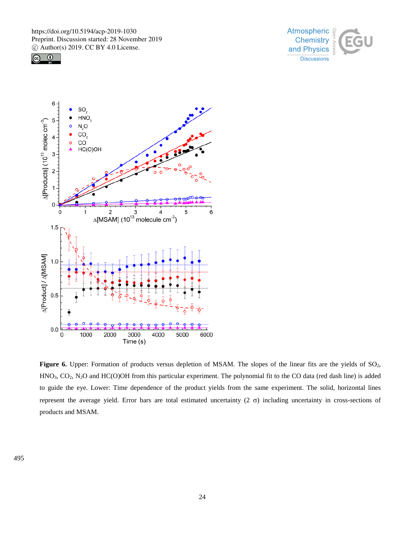





Figure 6. Upper: Formation of products versus depletion of MSAM. The slopes of the linear fits are the yields of SO<sub>2</sub>, HNO3, CO2, N2O and HC(O)OH from this particular experiment. The polynomial fit to the CO data (red dash line) is added to guide the eye. Lower: Time dependence of the product yields from the same experiment. The solid, horizontal lines represent the average yield. Error bars are total estimated uncertainty (2  $\sigma$ ) including uncertainty in cross-sections of products and MSAM.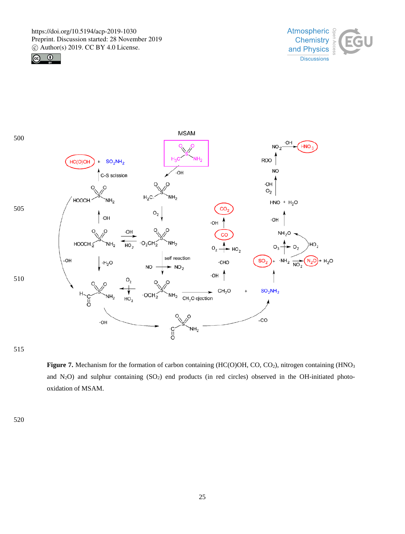





515

Figure 7. Mechanism for the formation of carbon containing (HC(O)OH, CO, CO<sub>2</sub>), nitrogen containing (HNO<sub>3</sub>) and  $N_2O$ ) and sulphur containing  $(SO_2)$  end products (in red circles) observed in the OH-initiated photooxidation of MSAM.